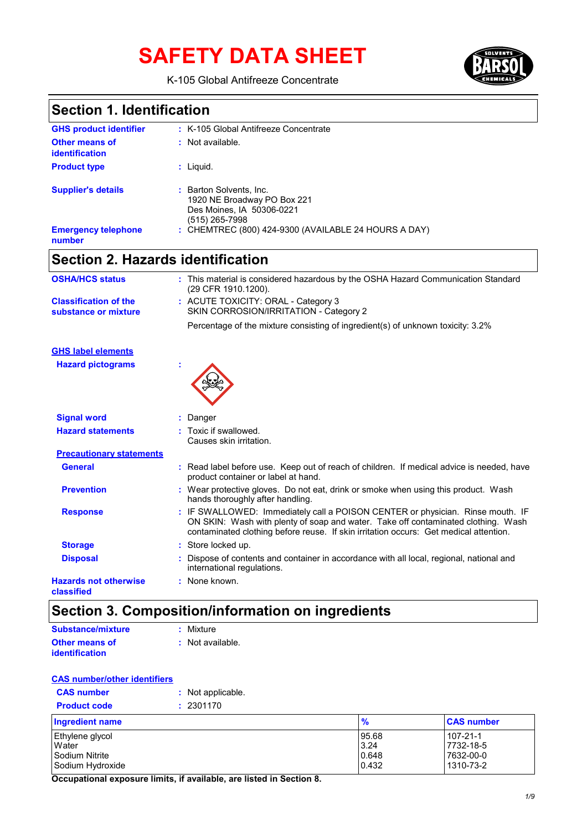# **SAFETY DATA SHEET**



K-105 Global Antifreeze Concentrate

### **Section 1. Identification**

| <b>GHS product identifier</b>                  | : K-105 Global Antifreeze Concentrate                                                                 |
|------------------------------------------------|-------------------------------------------------------------------------------------------------------|
| <b>Other means of</b><br><i>identification</i> | : Not available.                                                                                      |
| <b>Product type</b>                            | : Liquid.                                                                                             |
| <b>Supplier's details</b>                      | : Barton Solvents, Inc.<br>1920 NE Broadway PO Box 221<br>Des Moines, IA 50306-0221<br>(515) 265-7998 |
| <b>Emergency telephone</b><br>number           | : CHEMTREC (800) 424-9300 (AVAILABLE 24 HOURS A DAY)                                                  |

## **Section 2. Hazards identification**

| <b>OSHA/HCS status</b>                               | : This material is considered hazardous by the OSHA Hazard Communication Standard<br>(29 CFR 1910.1200).                                                                                                                                                     |
|------------------------------------------------------|--------------------------------------------------------------------------------------------------------------------------------------------------------------------------------------------------------------------------------------------------------------|
| <b>Classification of the</b><br>substance or mixture | : ACUTE TOXICITY: ORAL - Category 3<br>SKIN CORROSION/IRRITATION - Category 2                                                                                                                                                                                |
|                                                      | Percentage of the mixture consisting of ingredient(s) of unknown toxicity: 3.2%                                                                                                                                                                              |
| <b>GHS label elements</b>                            |                                                                                                                                                                                                                                                              |
| <b>Hazard pictograms</b>                             |                                                                                                                                                                                                                                                              |
| <b>Signal word</b>                                   | Danger                                                                                                                                                                                                                                                       |
| <b>Hazard statements</b>                             | : Toxic if swallowed.<br>Causes skin irritation.                                                                                                                                                                                                             |
| <b>Precautionary statements</b>                      |                                                                                                                                                                                                                                                              |
| <b>General</b>                                       | : Read label before use. Keep out of reach of children. If medical advice is needed, have<br>product container or label at hand.                                                                                                                             |
| <b>Prevention</b>                                    | : Wear protective gloves. Do not eat, drink or smoke when using this product. Wash<br>hands thoroughly after handling.                                                                                                                                       |
| <b>Response</b>                                      | : IF SWALLOWED: Immediately call a POISON CENTER or physician. Rinse mouth. IF<br>ON SKIN: Wash with plenty of soap and water. Take off contaminated clothing. Wash<br>contaminated clothing before reuse. If skin irritation occurs: Get medical attention. |
| <b>Storage</b>                                       | : Store locked up.                                                                                                                                                                                                                                           |
| <b>Disposal</b>                                      | Dispose of contents and container in accordance with all local, regional, national and<br>international regulations.                                                                                                                                         |
| <b>Hazards not otherwise</b><br>classified           | : None known.                                                                                                                                                                                                                                                |

### **Section 3. Composition/information on ingredients**

| Substance/mixture     | : Mixture        |
|-----------------------|------------------|
| <b>Other means of</b> | : Not available. |
| <i>identification</i> |                  |

#### **CAS number/other identifiers**

| <b>CAS number</b>   | : Not applicable. |
|---------------------|-------------------|
| <b>Product code</b> | : 2301170         |

| Ingredient name  | $\frac{9}{6}$ | <b>CAS number</b> |
|------------------|---------------|-------------------|
| Ethylene glycol  | 95.68         | 107-21-1          |
| Water            | 3.24          | 7732-18-5         |
| Sodium Nitrite   | 0.648         | 7632-00-0         |
| Sodium Hydroxide | 0.432         | 1310-73-2         |

**Occupational exposure limits, if available, are listed in Section 8.**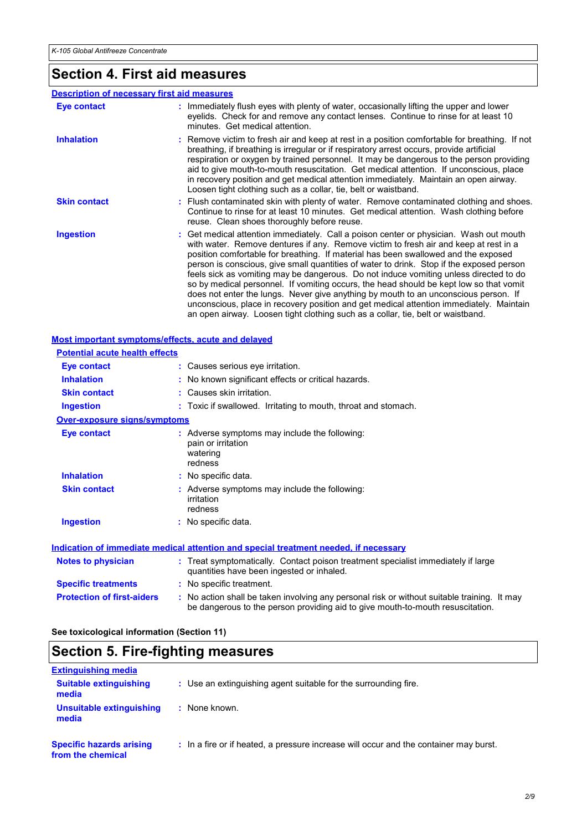### **Section 4. First aid measures**

#### **Description of necessary first aid measures**

| Eye contact         | : Immediately flush eyes with plenty of water, occasionally lifting the upper and lower<br>eyelids. Check for and remove any contact lenses. Continue to rinse for at least 10<br>minutes. Get medical attention.                                                                                                                                                                                                                                                                                                                                                                                                                                                                                                                                                                                                        |
|---------------------|--------------------------------------------------------------------------------------------------------------------------------------------------------------------------------------------------------------------------------------------------------------------------------------------------------------------------------------------------------------------------------------------------------------------------------------------------------------------------------------------------------------------------------------------------------------------------------------------------------------------------------------------------------------------------------------------------------------------------------------------------------------------------------------------------------------------------|
| <b>Inhalation</b>   | : Remove victim to fresh air and keep at rest in a position comfortable for breathing. If not<br>breathing, if breathing is irregular or if respiratory arrest occurs, provide artificial<br>respiration or oxygen by trained personnel. It may be dangerous to the person providing<br>aid to give mouth-to-mouth resuscitation. Get medical attention. If unconscious, place<br>in recovery position and get medical attention immediately. Maintain an open airway.<br>Loosen tight clothing such as a collar, tie, belt or waistband.                                                                                                                                                                                                                                                                                |
| <b>Skin contact</b> | : Flush contaminated skin with plenty of water. Remove contaminated clothing and shoes.<br>Continue to rinse for at least 10 minutes. Get medical attention. Wash clothing before<br>reuse. Clean shoes thoroughly before reuse.                                                                                                                                                                                                                                                                                                                                                                                                                                                                                                                                                                                         |
| <b>Ingestion</b>    | : Get medical attention immediately. Call a poison center or physician. Wash out mouth<br>with water. Remove dentures if any. Remove victim to fresh air and keep at rest in a<br>position comfortable for breathing. If material has been swallowed and the exposed<br>person is conscious, give small quantities of water to drink. Stop if the exposed person<br>feels sick as vomiting may be dangerous. Do not induce vomiting unless directed to do<br>so by medical personnel. If vomiting occurs, the head should be kept low so that vomit<br>does not enter the lungs. Never give anything by mouth to an unconscious person. If<br>unconscious, place in recovery position and get medical attention immediately. Maintain<br>an open airway. Loosen tight clothing such as a collar, tie, belt or waistband. |

#### **Notes to physician :** Treat symptomatically. Contact poison treatment specialist immediately if large quantities have been ingested or inhaled. **Most important symptoms/effects, acute and delayed Inhalation :** No known significant effects or critical hazards. **Ingestion :** Toxic if swallowed. Irritating to mouth, throat and stomach. **Skin contact :** Causes skin irritation. **Eye contact :** Causes serious eye irritation. **Over-exposure signs/symptoms Skin contact Ingestion Inhalation** : No specific data. No specific data. **:** Adverse symptoms may include the following: **:** irritation redness **Eye contact :** Adverse symptoms may include the following: pain or irritation watering redness **Potential acute health effects Indication of immediate medical attention and special treatment needed, if necessary**

| <b>Specific treatments</b>        | : No specific treatment.                                                                                                                                                      |
|-----------------------------------|-------------------------------------------------------------------------------------------------------------------------------------------------------------------------------|
| <b>Protection of first-aiders</b> | . No action shall be taken involving any personal risk or without suitable training. It may<br>be dangerous to the person providing aid to give mouth-to-mouth resuscitation. |

**See toxicological information (Section 11)**

### **Section 5. Fire-fighting measures**

| <b>Extinguishing media</b>                           |                                                                                       |
|------------------------------------------------------|---------------------------------------------------------------------------------------|
| <b>Suitable extinguishing</b><br>media               | : Use an extinguishing agent suitable for the surrounding fire.                       |
| Unsuitable extinguishing<br>media                    | : None known.                                                                         |
| <b>Specific hazards arising</b><br>from the chemical | : In a fire or if heated, a pressure increase will occur and the container may burst. |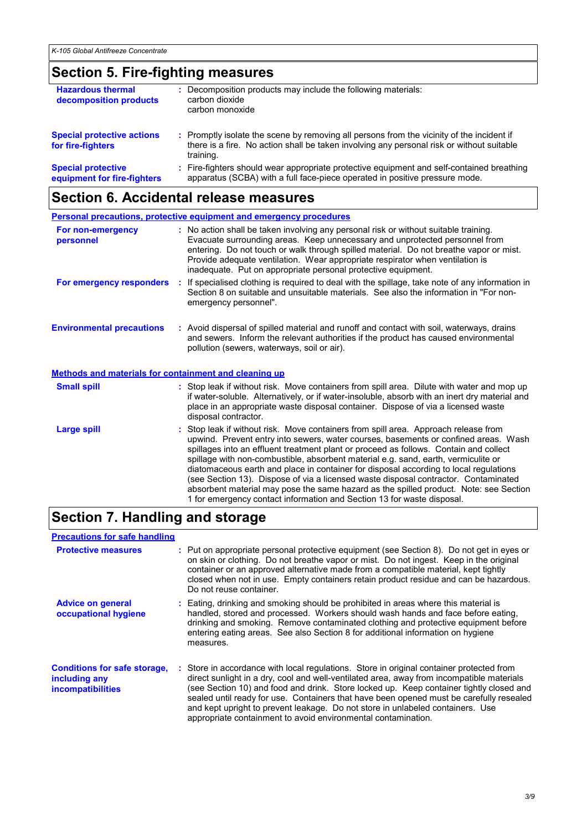### **Section 5. Fire-fighting measures**

| <b>Hazardous thermal</b><br>decomposition products       | Decomposition products may include the following materials:<br>carbon dioxide<br>carbon monoxide                                                                                                    |
|----------------------------------------------------------|-----------------------------------------------------------------------------------------------------------------------------------------------------------------------------------------------------|
| <b>Special protective actions</b><br>for fire-fighters   | : Promptly isolate the scene by removing all persons from the vicinity of the incident if<br>there is a fire. No action shall be taken involving any personal risk or without suitable<br>training. |
| <b>Special protective</b><br>equipment for fire-fighters | : Fire-fighters should wear appropriate protective equipment and self-contained breathing<br>apparatus (SCBA) with a full face-piece operated in positive pressure mode.                            |

### **Section 6. Accidental release measures**

|                                                              |    | <b>Personal precautions, protective equipment and emergency procedures</b>                                                                                                                                                                                                                                                                                                                                                                                                                                                              |
|--------------------------------------------------------------|----|-----------------------------------------------------------------------------------------------------------------------------------------------------------------------------------------------------------------------------------------------------------------------------------------------------------------------------------------------------------------------------------------------------------------------------------------------------------------------------------------------------------------------------------------|
| For non-emergency<br>personnel                               |    | : No action shall be taken involving any personal risk or without suitable training.<br>Evacuate surrounding areas. Keep unnecessary and unprotected personnel from<br>entering. Do not touch or walk through spilled material. Do not breathe vapor or mist.<br>Provide adequate ventilation. Wear appropriate respirator when ventilation is<br>inadequate. Put on appropriate personal protective equipment.                                                                                                                         |
| For emergency responders                                     | ÷. | If specialised clothing is required to deal with the spillage, take note of any information in<br>Section 8 on suitable and unsuitable materials. See also the information in "For non-<br>emergency personnel".                                                                                                                                                                                                                                                                                                                        |
| <b>Environmental precautions</b>                             |    | : Avoid dispersal of spilled material and runoff and contact with soil, waterways, drains<br>and sewers. Inform the relevant authorities if the product has caused environmental<br>pollution (sewers, waterways, soil or air).                                                                                                                                                                                                                                                                                                         |
| <b>Methods and materials for containment and cleaning up</b> |    |                                                                                                                                                                                                                                                                                                                                                                                                                                                                                                                                         |
| <b>Small spill</b>                                           |    | : Stop leak if without risk. Move containers from spill area. Dilute with water and mop up<br>if water-soluble. Alternatively, or if water-insoluble, absorb with an inert dry material and<br>place in an appropriate waste disposal container. Dispose of via a licensed waste<br>disposal contractor.                                                                                                                                                                                                                                |
| Large spill                                                  |    | Stop leak if without risk. Move containers from spill area. Approach release from<br>upwind. Prevent entry into sewers, water courses, basements or confined areas. Wash<br>spillages into an effluent treatment plant or proceed as follows. Contain and collect<br>spillage with non-combustible, absorbent material e.g. sand, earth, vermiculite or<br>diatomaceous earth and place in container for disposal according to local regulations<br>(see Section 13). Dispose of via a licensed waste disposal contractor. Contaminated |

### **Section 7. Handling and storage**

| <b>Precautions for safe handling</b>                                             |                                                                                                                                                                                                                                                                                                                                                                                                                                                                                                                                |  |
|----------------------------------------------------------------------------------|--------------------------------------------------------------------------------------------------------------------------------------------------------------------------------------------------------------------------------------------------------------------------------------------------------------------------------------------------------------------------------------------------------------------------------------------------------------------------------------------------------------------------------|--|
| <b>Protective measures</b>                                                       | : Put on appropriate personal protective equipment (see Section 8). Do not get in eyes or<br>on skin or clothing. Do not breathe vapor or mist. Do not ingest. Keep in the original<br>container or an approved alternative made from a compatible material, kept tightly<br>closed when not in use. Empty containers retain product residue and can be hazardous.<br>Do not reuse container.                                                                                                                                  |  |
| <b>Advice on general</b><br>occupational hygiene                                 | : Eating, drinking and smoking should be prohibited in areas where this material is<br>handled, stored and processed. Workers should wash hands and face before eating.<br>drinking and smoking. Remove contaminated clothing and protective equipment before<br>entering eating areas. See also Section 8 for additional information on hygiene<br>measures.                                                                                                                                                                  |  |
| <b>Conditions for safe storage,</b><br>including any<br><i>incompatibilities</i> | : Store in accordance with local regulations. Store in original container protected from<br>direct sunlight in a dry, cool and well-ventilated area, away from incompatible materials<br>(see Section 10) and food and drink. Store locked up. Keep container tightly closed and<br>sealed until ready for use. Containers that have been opened must be carefully resealed<br>and kept upright to prevent leakage. Do not store in unlabeled containers. Use<br>appropriate containment to avoid environmental contamination. |  |

absorbent material may pose the same hazard as the spilled product. Note: see Section

1 for emergency contact information and Section 13 for waste disposal.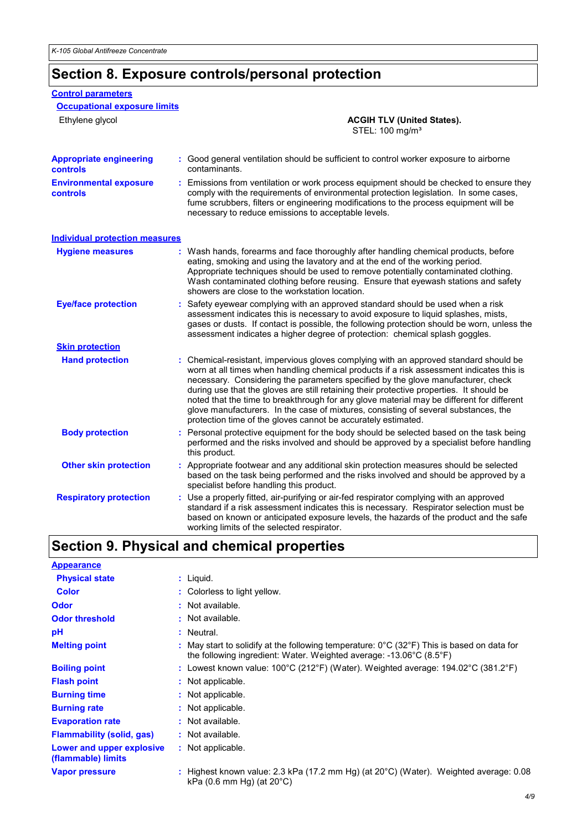**Control parameters**

### **Section 8. Exposure controls/personal protection**

| <b>Occupational exposure limits</b>               |    |                                                                                                                                                                                                                                                                                                                                                                                                                                                                                                                                                                                                                        |
|---------------------------------------------------|----|------------------------------------------------------------------------------------------------------------------------------------------------------------------------------------------------------------------------------------------------------------------------------------------------------------------------------------------------------------------------------------------------------------------------------------------------------------------------------------------------------------------------------------------------------------------------------------------------------------------------|
| Ethylene glycol                                   |    | <b>ACGIH TLV (United States).</b><br>STEL: 100 mg/m <sup>3</sup>                                                                                                                                                                                                                                                                                                                                                                                                                                                                                                                                                       |
| <b>Appropriate engineering</b><br><b>controls</b> |    | : Good general ventilation should be sufficient to control worker exposure to airborne<br>contaminants.                                                                                                                                                                                                                                                                                                                                                                                                                                                                                                                |
| <b>Environmental exposure</b><br>controls         |    | : Emissions from ventilation or work process equipment should be checked to ensure they<br>comply with the requirements of environmental protection legislation. In some cases,<br>fume scrubbers, filters or engineering modifications to the process equipment will be<br>necessary to reduce emissions to acceptable levels.                                                                                                                                                                                                                                                                                        |
| <b>Individual protection measures</b>             |    |                                                                                                                                                                                                                                                                                                                                                                                                                                                                                                                                                                                                                        |
| <b>Hygiene measures</b>                           |    | : Wash hands, forearms and face thoroughly after handling chemical products, before<br>eating, smoking and using the lavatory and at the end of the working period.<br>Appropriate techniques should be used to remove potentially contaminated clothing.<br>Wash contaminated clothing before reusing. Ensure that eyewash stations and safety<br>showers are close to the workstation location.                                                                                                                                                                                                                      |
| <b>Eye/face protection</b>                        |    | Safety eyewear complying with an approved standard should be used when a risk<br>assessment indicates this is necessary to avoid exposure to liquid splashes, mists,<br>gases or dusts. If contact is possible, the following protection should be worn, unless the<br>assessment indicates a higher degree of protection: chemical splash goggles.                                                                                                                                                                                                                                                                    |
| <b>Skin protection</b>                            |    |                                                                                                                                                                                                                                                                                                                                                                                                                                                                                                                                                                                                                        |
| <b>Hand protection</b>                            |    | : Chemical-resistant, impervious gloves complying with an approved standard should be<br>worn at all times when handling chemical products if a risk assessment indicates this is<br>necessary. Considering the parameters specified by the glove manufacturer, check<br>during use that the gloves are still retaining their protective properties. It should be<br>noted that the time to breakthrough for any glove material may be different for different<br>glove manufacturers. In the case of mixtures, consisting of several substances, the<br>protection time of the gloves cannot be accurately estimated. |
| <b>Body protection</b>                            | t. | Personal protective equipment for the body should be selected based on the task being<br>performed and the risks involved and should be approved by a specialist before handling<br>this product.                                                                                                                                                                                                                                                                                                                                                                                                                      |
| <b>Other skin protection</b>                      |    | : Appropriate footwear and any additional skin protection measures should be selected<br>based on the task being performed and the risks involved and should be approved by a<br>specialist before handling this product.                                                                                                                                                                                                                                                                                                                                                                                              |
| <b>Respiratory protection</b>                     |    | Use a properly fitted, air-purifying or air-fed respirator complying with an approved<br>standard if a risk assessment indicates this is necessary. Respirator selection must be<br>based on known or anticipated exposure levels, the hazards of the product and the safe<br>working limits of the selected respirator.                                                                                                                                                                                                                                                                                               |

### **Section 9. Physical and chemical properties**

| <b>Appearance</b>                               |                                                                                                                                                                                                           |
|-------------------------------------------------|-----------------------------------------------------------------------------------------------------------------------------------------------------------------------------------------------------------|
| <b>Physical state</b>                           | $:$ Liquid.                                                                                                                                                                                               |
| <b>Color</b>                                    | : Colorless to light yellow.                                                                                                                                                                              |
| <b>Odor</b>                                     | : Not available.                                                                                                                                                                                          |
| <b>Odor threshold</b>                           | $:$ Not available.                                                                                                                                                                                        |
| рH                                              | : Neutral.                                                                                                                                                                                                |
| <b>Melting point</b>                            | May start to solidify at the following temperature: $0^{\circ}$ C (32 $^{\circ}$ F) This is based on data for<br>the following ingredient: Water. Weighted average: $-13.06^{\circ}$ C (8.5 $^{\circ}$ F) |
| <b>Boiling point</b>                            | : Lowest known value: $100^{\circ}$ C (212°F) (Water). Weighted average: $194.02^{\circ}$ C (381.2°F)                                                                                                     |
| <b>Flash point</b>                              | : Not applicable.                                                                                                                                                                                         |
| <b>Burning time</b>                             | : Not applicable.                                                                                                                                                                                         |
| <b>Burning rate</b>                             | : Not applicable.                                                                                                                                                                                         |
| <b>Evaporation rate</b>                         | : Not available.                                                                                                                                                                                          |
| <b>Flammability (solid, gas)</b>                | : Not available.                                                                                                                                                                                          |
| Lower and upper explosive<br>(flammable) limits | : Not applicable.                                                                                                                                                                                         |
| <b>Vapor pressure</b>                           | : Highest known value: 2.3 kPa (17.2 mm Hg) (at $20^{\circ}$ C) (Water). Weighted average: 0.08<br>kPa $(0.6$ mm Hg) (at $20^{\circ}$ C)                                                                  |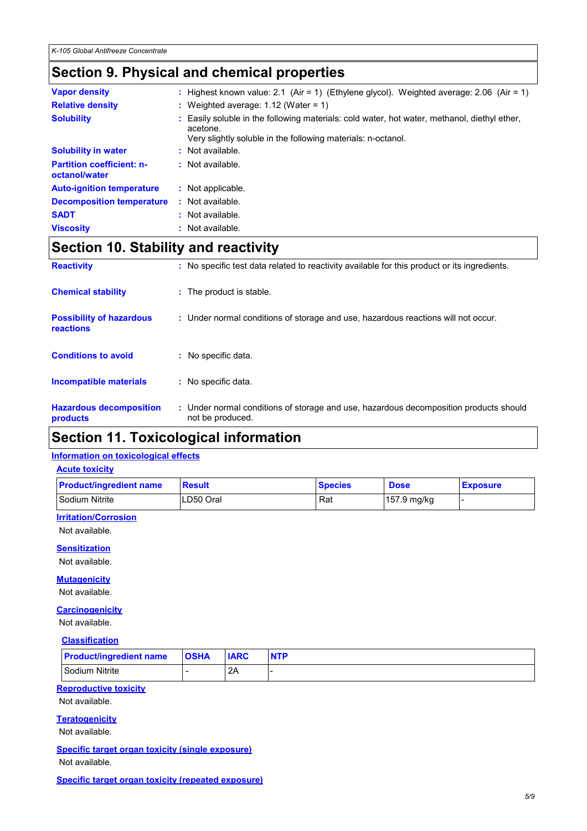### **Section 9. Physical and chemical properties**

| <b>Vapor density</b>                              | : Highest known value: 2.1 (Air = 1) (Ethylene glycol). Weighted average: 2.06 (Air = 1)                                                                               |
|---------------------------------------------------|------------------------------------------------------------------------------------------------------------------------------------------------------------------------|
| <b>Relative density</b>                           | : Weighted average: $1.12$ (Water = 1)                                                                                                                                 |
| <b>Solubility</b>                                 | Easily soluble in the following materials: cold water, hot water, methanol, diethyl ether,<br>acetone.<br>Very slightly soluble in the following materials: n-octanol. |
| <b>Solubility in water</b>                        | : Not available.                                                                                                                                                       |
| <b>Partition coefficient: n-</b><br>octanol/water | : Not available.                                                                                                                                                       |
| <b>Auto-ignition temperature</b>                  | : Not applicable.                                                                                                                                                      |
| <b>Decomposition temperature</b>                  | : Not available.                                                                                                                                                       |
| <b>SADT</b>                                       | : Not available.                                                                                                                                                       |
| <b>Viscosity</b>                                  | : Not available.                                                                                                                                                       |

### **Section 10. Stability and reactivity**

| <b>Reactivity</b>                            | : No specific test data related to reactivity available for this product or its ingredients.              |
|----------------------------------------------|-----------------------------------------------------------------------------------------------------------|
| <b>Chemical stability</b>                    | : The product is stable.                                                                                  |
| <b>Possibility of hazardous</b><br>reactions | : Under normal conditions of storage and use, hazardous reactions will not occur.                         |
| <b>Conditions to avoid</b>                   | No specific data.                                                                                         |
| <b>Incompatible materials</b>                | : No specific data.                                                                                       |
| <b>Hazardous decomposition</b><br>products   | : Under normal conditions of storage and use, hazardous decomposition products should<br>not be produced. |

### **Section 11. Toxicological information**

#### **Information on toxicological effects**

#### **Acute toxicity**

| <b>Product/ingredient name</b> | <b>Result</b> | <b>Species</b> | <b>Dose</b> | <b>Exposure</b> |
|--------------------------------|---------------|----------------|-------------|-----------------|
| Sodium Nitrite                 | LD50 Oral     | Rat            | 157.9 mg/kg |                 |

#### **Irritation/Corrosion**

Not available.

#### **Sensitization**

Not available.

#### **Mutagenicity**

Not available.

#### **Carcinogenicity**

Not available.

#### **Classification**

| <b>Product/ingredient name</b> | <b>OSHA</b> | <b>IARC</b> | <b>NTP</b> |
|--------------------------------|-------------|-------------|------------|
| Sodium Nitrite                 |             | 2A          |            |

#### **Reproductive toxicity**

Not available.

#### **Teratogenicity**

Not available.

**Specific target organ toxicity (single exposure)** Not available.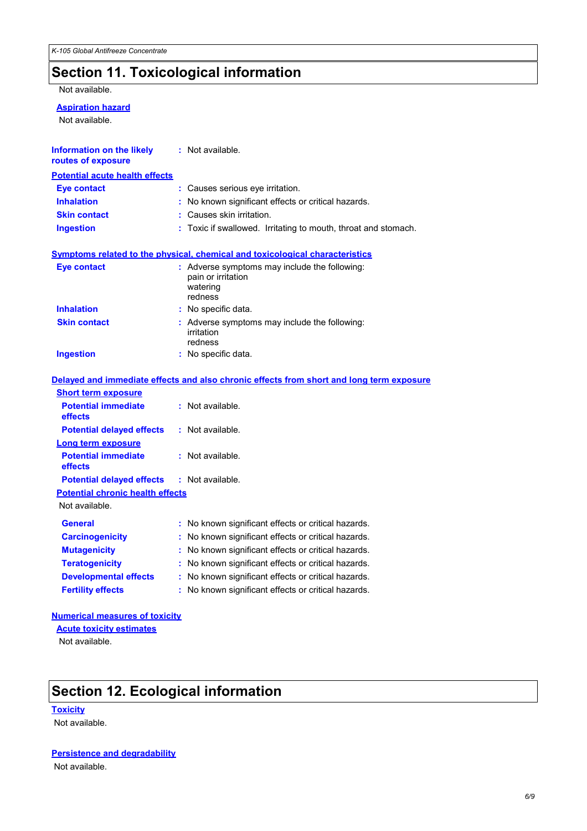### **Section 11. Toxicological information**

Not available.

#### **Aspiration hazard**

Not available.

| <b>Information on the likely : Not available.</b><br>routes of exposure |                                                                                            |
|-------------------------------------------------------------------------|--------------------------------------------------------------------------------------------|
| <b>Potential acute health effects</b>                                   |                                                                                            |
| Eye contact                                                             | : Causes serious eye irritation.                                                           |
| <b>Inhalation</b>                                                       | : No known significant effects or critical hazards.                                        |
| <b>Skin contact</b>                                                     | : Causes skin irritation.                                                                  |
| Ingestion                                                               | : Toxic if swallowed. Irritating to mouth, throat and stomach.                             |
|                                                                         | <u>Symptoms related to the physical, chemical and toxicological characteristics</u>        |
| Eye contact                                                             | : Adverse symptoms may include the following:<br>pain or irritation<br>watering<br>redness |
| <b>Inhalation</b>                                                       | : No specific data.                                                                        |
| <b>Skin contact</b>                                                     | : Adverse symptoms may include the following:<br>irritation<br>redness                     |
| Ingestion                                                               | : No specific data.                                                                        |
|                                                                         |                                                                                            |

|                                                   | Delayed and immediate effects and also chronic effects from short and long term exposure |
|---------------------------------------------------|------------------------------------------------------------------------------------------|
| <b>Short term exposure</b>                        |                                                                                          |
| <b>Potential immediate</b><br><b>effects</b>      | : Not available.                                                                         |
| <b>Potential delayed effects</b>                  | : Not available.                                                                         |
| <b>Long term exposure</b>                         |                                                                                          |
| <b>Potential immediate</b><br>effects             | : Not available.                                                                         |
| <b>Potential delayed effects : Not available.</b> |                                                                                          |
| <b>Potential chronic health effects</b>           |                                                                                          |
| Not available.                                    |                                                                                          |
| <b>General</b>                                    | : No known significant effects or critical hazards.                                      |
| <b>Carcinogenicity</b>                            | : No known significant effects or critical hazards.                                      |
| <b>Mutagenicity</b>                               | : No known significant effects or critical hazards.                                      |
| <b>Teratogenicity</b>                             | : No known significant effects or critical hazards.                                      |
| <b>Developmental effects</b>                      | : No known significant effects or critical hazards.                                      |
| <b>Fertility effects</b>                          | : No known significant effects or critical hazards.                                      |

#### **Numerical measures of toxicity**

**Acute toxicity estimates**

Not available.

### **Section 12. Ecological information**

**Toxicity** Not available.

**Persistence and degradability** Not available.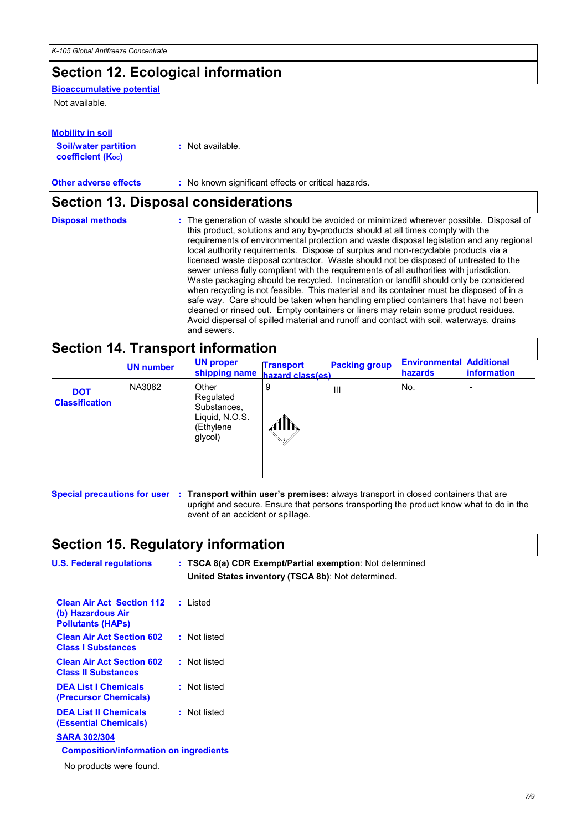### **Section 12. Ecological information**

**Bioaccumulative potential**

Not available.

| <b>Mobility in soil</b>     |                  |
|-----------------------------|------------------|
| <b>Soil/water partition</b> | : Not available. |
| <b>coefficient (Koc)</b>    |                  |

**Other adverse effects** : No known significant effects or critical hazards.

### **Section 13. Disposal considerations**

### **Section 14. Transport information**

|                                     | <b>UN number</b> | <b>UN proper</b><br>shipping name                                           | <b>Transport</b><br>hazard class(es) | <b>Packing group</b> | <b>Environmental</b><br>hazards | <b>Additional</b><br><b>information</b> |
|-------------------------------------|------------------|-----------------------------------------------------------------------------|--------------------------------------|----------------------|---------------------------------|-----------------------------------------|
| <b>DOT</b><br><b>Classification</b> | NA3082           | Other<br>Regulated<br>Substances,<br>Liquid, N.O.S.<br>(Ethylene<br>glycol) | 9<br>MIN                             | $\mathsf{III}$       | No.                             |                                         |

**Special precautions for user : Transport within user's premises:** always transport in closed containers that are upright and secure. Ensure that persons transporting the product know what to do in the event of an accident or spillage.

### **Section 15. Regulatory information**

| <b>U.S. Federal regulations</b>                                                   | : TSCA 8(a) CDR Exempt/Partial exemption: Not determined<br>United States inventory (TSCA 8b): Not determined. |
|-----------------------------------------------------------------------------------|----------------------------------------------------------------------------------------------------------------|
| <b>Clean Air Act Section 112</b><br>(b) Hazardous Air<br><b>Pollutants (HAPs)</b> | : Listed                                                                                                       |
| <b>Clean Air Act Section 602</b><br><b>Class I Substances</b>                     | : Not listed                                                                                                   |
| <b>Clean Air Act Section 602</b><br><b>Class II Substances</b>                    | : Not listed                                                                                                   |
| <b>DEA List I Chemicals</b><br>(Precursor Chemicals)                              | : Not listed                                                                                                   |
| <b>DEA List II Chemicals</b><br><b>(Essential Chemicals)</b>                      | : Not listed                                                                                                   |
| <b>SARA 302/304</b>                                                               |                                                                                                                |
| <b>Composition/information on ingredients</b>                                     |                                                                                                                |
| No products were found.                                                           |                                                                                                                |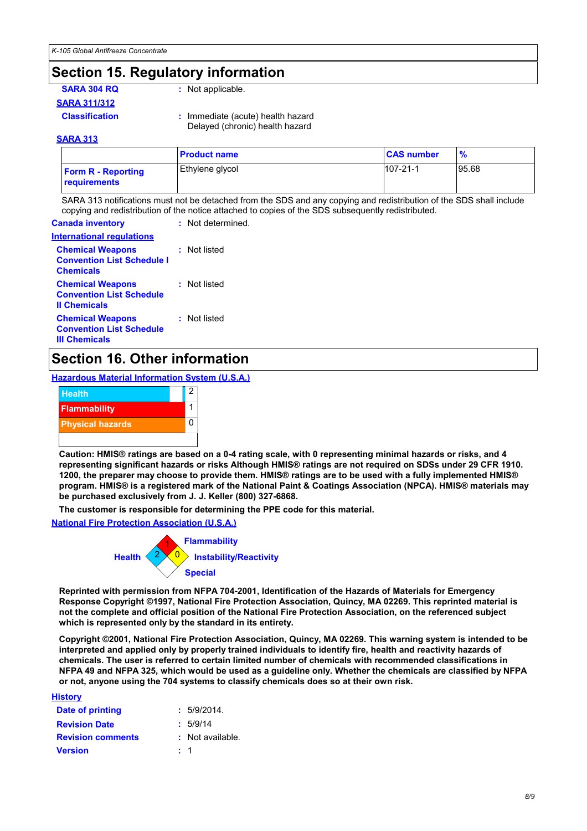### **Section 15. Regulatory information**

**SARA 304 RQ :** Not applicable.

**SARA 311/312**

**Classification :** Immediate (acute) health hazard

Delayed (chronic) health hazard

#### **SARA 313**

|                                           | <b>Product name</b> | <b>CAS number</b> |       |
|-------------------------------------------|---------------------|-------------------|-------|
| <b>Form R - Reporting</b><br>requirements | Ethylene glycol     | $107 - 21 - 1$    | 95.68 |

SARA 313 notifications must not be detached from the SDS and any copying and redistribution of the SDS shall include copying and redistribution of the notice attached to copies of the SDS subsequently redistributed.

| : Not determined. |
|-------------------|
|                   |
| : Not listed      |
| : Not listed      |
| : Not listed      |
|                   |

### **Section 16. Other information**

**Hazardous Material Information System (U.S.A.)**

| <b>Health</b>           | 2 |
|-------------------------|---|
| <b>Flammability</b>     |   |
| <b>Physical hazards</b> |   |
|                         |   |

**Caution: HMIS® ratings are based on a 0-4 rating scale, with 0 representing minimal hazards or risks, and 4 representing significant hazards or risks Although HMIS® ratings are not required on SDSs under 29 CFR 1910. 1200, the preparer may choose to provide them. HMIS® ratings are to be used with a fully implemented HMIS® program. HMIS® is a registered mark of the National Paint & Coatings Association (NPCA). HMIS® materials may be purchased exclusively from J. J. Keller (800) 327-6868.**

**The customer is responsible for determining the PPE code for this material.**

**National Fire Protection Association (U.S.A.)**



**Reprinted with permission from NFPA 704-2001, Identification of the Hazards of Materials for Emergency Response Copyright ©1997, National Fire Protection Association, Quincy, MA 02269. This reprinted material is not the complete and official position of the National Fire Protection Association, on the referenced subject which is represented only by the standard in its entirety.**

**Copyright ©2001, National Fire Protection Association, Quincy, MA 02269. This warning system is intended to be interpreted and applied only by properly trained individuals to identify fire, health and reactivity hazards of chemicals. The user is referred to certain limited number of chemicals with recommended classifications in NFPA 49 and NFPA 325, which would be used as a guideline only. Whether the chemicals are classified by NFPA or not, anyone using the 704 systems to classify chemicals does so at their own risk.**

**History**

| Date of printing         | : 5/9/2014.      |
|--------------------------|------------------|
| <b>Revision Date</b>     | : 5/9/14         |
| <b>Revision comments</b> | : Not available. |
| <b>Version</b>           | $\pm$ 1          |